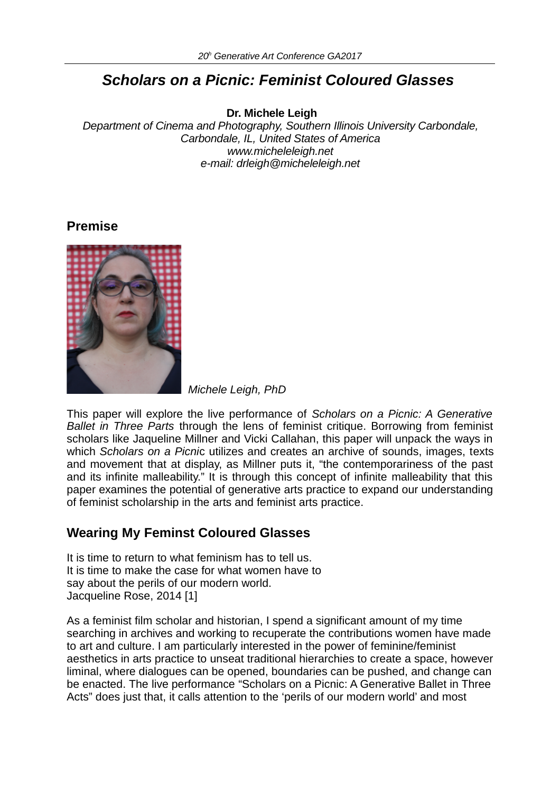# *Scholars on a Picnic: Feminist Coloured Glasses*

**Dr. Michele Leigh**

*Department of Cinema and Photography, Southern Illinois University Carbondale, Carbondale, IL, United States of America www.micheleleigh.net e-mail: drleigh@micheleleigh.net*

## **Premise**



*Michele Leigh, PhD*

This paper will explore the live performance of *Scholars on a Picnic: A Generative Ballet in Three Parts* through the lens of feminist critique. Borrowing from feminist scholars like Jaqueline Millner and Vicki Callahan, this paper will unpack the ways in which *Scholars on a Picni*c utilizes and creates an archive of sounds, images, texts and movement that at display, as Millner puts it, "the contemporariness of the past and its infinite malleability." It is through this concept of infinite malleability that this paper examines the potential of generative arts practice to expand our understanding of feminist scholarship in the arts and feminist arts practice.

## **Wearing My Feminst Coloured Glasses**

It is time to return to what feminism has to tell us. It is time to make the case for what women have to say about the perils of our modern world. Jacqueline Rose, 2014 [1]

As a feminist film scholar and historian, I spend a significant amount of my time searching in archives and working to recuperate the contributions women have made to art and culture. I am particularly interested in the power of feminine/feminist aesthetics in arts practice to unseat traditional hierarchies to create a space, however liminal, where dialogues can be opened, boundaries can be pushed, and change can be enacted. The live performance "Scholars on a Picnic: A Generative Ballet in Three Acts" does just that, it calls attention to the 'perils of our modern world' and most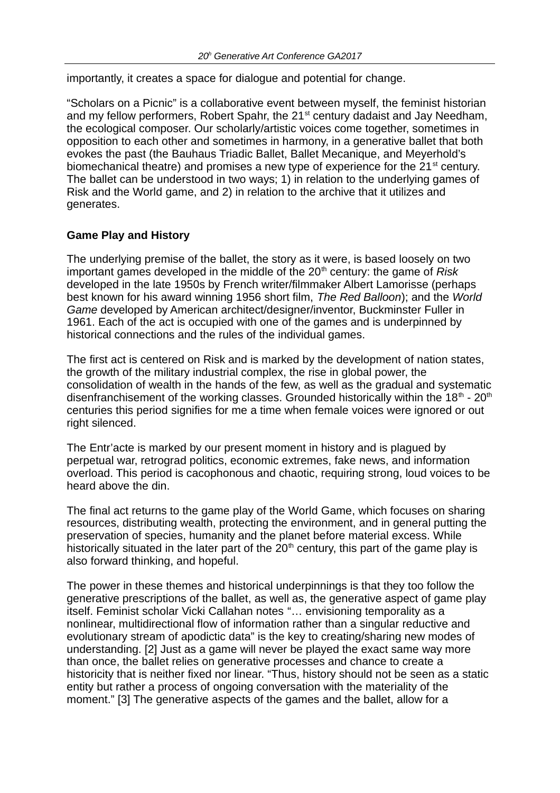importantly, it creates a space for dialogue and potential for change.

"Scholars on a Picnic" is a collaborative event between myself, the feminist historian and my fellow performers, Robert Spahr, the  $21<sup>st</sup>$  century dadaist and Jay Needham, the ecological composer. Our scholarly/artistic voices come together, sometimes in opposition to each other and sometimes in harmony, in a generative ballet that both evokes the past (the Bauhaus Triadic Ballet, Ballet Mecanique, and Meyerhold's biomechanical theatre) and promises a new type of experience for the  $21<sup>st</sup>$  century. The ballet can be understood in two ways; 1) in relation to the underlying games of Risk and the World game, and 2) in relation to the archive that it utilizes and generates.

### **Game Play and History**

The underlying premise of the ballet, the story as it were, is based loosely on two important games developed in the middle of the 20<sup>th</sup> century: the game of *Risk* developed in the late 1950s by French writer/filmmaker Albert Lamorisse (perhaps best known for his award winning 1956 short film, *The Red Balloon*); and the *World Game* developed by American architect/designer/inventor, Buckminster Fuller in 1961. Each of the act is occupied with one of the games and is underpinned by historical connections and the rules of the individual games.

The first act is centered on Risk and is marked by the development of nation states, the growth of the military industrial complex, the rise in global power, the consolidation of wealth in the hands of the few, as well as the gradual and systematic disenfranchisement of the working classes. Grounded historically within the  $18<sup>th</sup>$  -  $20<sup>th</sup>$ centuries this period signifies for me a time when female voices were ignored or out right silenced.

The Entr'acte is marked by our present moment in history and is plagued by perpetual war, retrograd politics, economic extremes, fake news, and information overload. This period is cacophonous and chaotic, requiring strong, loud voices to be heard above the din.

The final act returns to the game play of the World Game, which focuses on sharing resources, distributing wealth, protecting the environment, and in general putting the preservation of species, humanity and the planet before material excess. While historically situated in the later part of the  $20<sup>th</sup>$  century, this part of the game play is also forward thinking, and hopeful.

The power in these themes and historical underpinnings is that they too follow the generative prescriptions of the ballet, as well as, the generative aspect of game play itself. Feminist scholar Vicki Callahan notes "… envisioning temporality as a nonlinear, multidirectional flow of information rather than a singular reductive and evolutionary stream of apodictic data" is the key to creating/sharing new modes of understanding. [2] Just as a game will never be played the exact same way more than once, the ballet relies on generative processes and chance to create a historicity that is neither fixed nor linear. "Thus, history should not be seen as a static entity but rather a process of ongoing conversation with the materiality of the moment." [3] The generative aspects of the games and the ballet, allow for a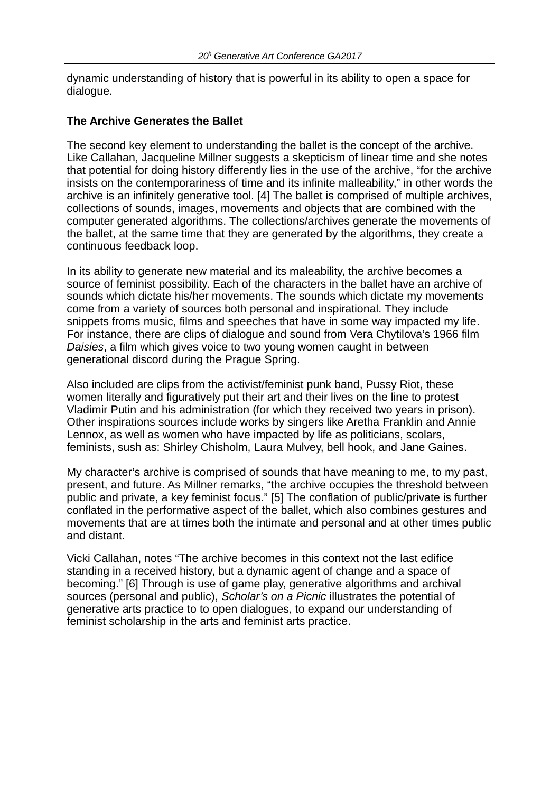dynamic understanding of history that is powerful in its ability to open a space for dialogue.

#### **The Archive Generates the Ballet**

The second key element to understanding the ballet is the concept of the archive. Like Callahan, Jacqueline Millner suggests a skepticism of linear time and she notes that potential for doing history differently lies in the use of the archive, "for the archive insists on the contemporariness of time and its infinite malleability," in other words the archive is an infinitely generative tool. [4] The ballet is comprised of multiple archives, collections of sounds, images, movements and objects that are combined with the computer generated algorithms. The collections/archives generate the movements of the ballet, at the same time that they are generated by the algorithms, they create a continuous feedback loop.

In its ability to generate new material and its maleability, the archive becomes a source of feminist possibility. Each of the characters in the ballet have an archive of sounds which dictate his/her movements. The sounds which dictate my movements come from a variety of sources both personal and inspirational. They include snippets froms music, films and speeches that have in some way impacted my life. For instance, there are clips of dialogue and sound from Vera Chytilova's 1966 film *Daisies*, a film which gives voice to two young women caught in between generational discord during the Prague Spring.

Also included are clips from the activist/feminist punk band, Pussy Riot, these women literally and figuratively put their art and their lives on the line to protest Vladimir Putin and his administration (for which they received two years in prison). Other inspirations sources include works by singers like Aretha Franklin and Annie Lennox, as well as women who have impacted by life as politicians, scolars, feminists, sush as: Shirley Chisholm, Laura Mulvey, bell hook, and Jane Gaines.

My character's archive is comprised of sounds that have meaning to me, to my past, present, and future. As Millner remarks, "the archive occupies the threshold between public and private, a key feminist focus." [5] The conflation of public/private is further conflated in the performative aspect of the ballet, which also combines gestures and movements that are at times both the intimate and personal and at other times public and distant.

Vicki Callahan, notes "The archive becomes in this context not the last edifice standing in a received history, but a dynamic agent of change and a space of becoming." [6] Through is use of game play, generative algorithms and archival sources (personal and public), *Scholar's on a Picnic* illustrates the potential of generative arts practice to to open dialogues, to expand our understanding of feminist scholarship in the arts and feminist arts practice.